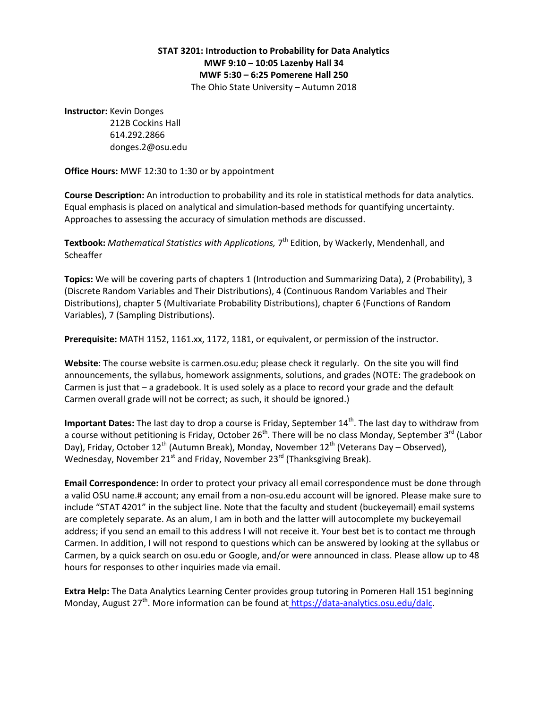## **STAT 3201: Introduction to Probability for Data Analytics MWF 9:10 – 10:05 Lazenby Hall 34 MWF 5:30 – 6:25 Pomerene Hall 250** The Ohio State University – Autumn 2018

**Instructor:** Kevin Donges

 212B Cockins Hall 614.292.2866 donges.2@osu.edu

**Office Hours:** MWF 12:30 to 1:30 or by appointment

**Course Description:** An introduction to probability and its role in statistical methods for data analytics. Equal emphasis is placed on analytical and simulation-based methods for quantifying uncertainty. Approaches to assessing the accuracy of simulation methods are discussed.

Textbook: *Mathematical Statistics with Applications,* 7<sup>th</sup> Edition, by Wackerly, Mendenhall, and **Scheaffer** 

**Topics:** We will be covering parts of chapters 1 (Introduction and Summarizing Data), 2 (Probability), 3 (Discrete Random Variables and Their Distributions), 4 (Continuous Random Variables and Their Distributions), chapter 5 (Multivariate Probability Distributions), chapter 6 (Functions of Random Variables), 7 (Sampling Distributions).

**Prerequisite:** MATH 1152, 1161.xx, 1172, 1181, or equivalent, or permission of the instructor.

**Website**: The course website is carmen.osu.edu; please check it regularly. On the site you will find announcements, the syllabus, homework assignments, solutions, and grades (NOTE: The gradebook on Carmen is just that – a gradebook. It is used solely as a place to record your grade and the default Carmen overall grade will not be correct; as such, it should be ignored.)

**Important Dates:** The last day to drop a course is Friday, September 14<sup>th</sup>. The last day to withdraw from a course without petitioning is Friday, October 26<sup>th</sup>. There will be no class Monday, September 3<sup>rd</sup> (Labor Day), Friday, October 12<sup>th</sup> (Autumn Break), Monday, November 12<sup>th</sup> (Veterans Day – Observed), Wednesday, November 21<sup>st</sup> and Friday, November 23<sup>rd</sup> (Thanksgiving Break).

**Email Correspondence:** In order to protect your privacy all email correspondence must be done through a valid OSU name.# account; any email from a non-osu.edu account will be ignored. Please make sure to include "STAT 4201" in the subject line. Note that the faculty and student (buckeyemail) email systems are completely separate. As an alum, I am in both and the latter will autocomplete my buckeyemail address; if you send an email to this address I will not receive it. Your best bet is to contact me through Carmen. In addition, I will not respond to questions which can be answered by looking at the syllabus or Carmen, by a quick search on osu.edu or Google, and/or were announced in class. Please allow up to 48 hours for responses to other inquiries made via email.

**Extra Help:** The Data Analytics Learning Center provides group tutoring in Pomeren Hall 151 beginning Monday, August  $27<sup>th</sup>$ . More information can be found at https://data-analytics.osu.edu/dalc.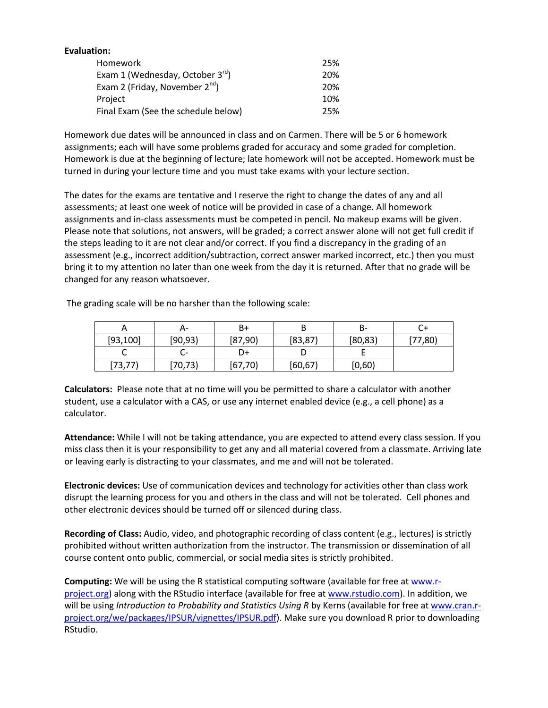| Evaluation:                                |     |
|--------------------------------------------|-----|
| <b>Homework</b>                            | 25% |
| Exam 1 (Wednesday, October $3^{rd}$ )      | 20% |
| Exam 2 (Friday, November 2 <sup>nd</sup> ) | 20% |
| Project                                    | 10% |
| Final Exam (See the schedule below)        | 25% |

Homework due dates will be announced in class and on Carmen. There will be 5 or 6 homework assignments; each will have some problems graded for accuracy and some graded for completion. Homework is due at the beginning of lecture; late homework will not be accepted. Homework must be turned in during your lecture time and you must take exams with your lecture section.

The dates for the exams are tentative and I reserve the right to change the dates of any and all assessments; at least one week of notice will be provided in case of a change. All homework assignments and in-class assessments must be competed in pencil. No makeup exams will be given. Please note that solutions, not answers, will be graded; a correct answer alone will not get full credit if the steps leading to it are not clear and/or correct. If you find a discrepancy in the grading of an assessment (e.g., incorrect addition/subtraction, correct answer marked incorrect, etc.) then you must bring it to my attention no later than one week from the day it is returned. After that no grade will be changed for any reason whatsoever.

The grading scale will be no harsher than the following scale:

| ⌒         | А-       | B+       |          | в-       | ີ        |
|-----------|----------|----------|----------|----------|----------|
| [93, 100] | [90, 93] | (87,90)  | [83, 87] | [80, 83] | (77, 80) |
| ๛         |          | D+       |          |          |          |
| [73, 77]  | [70, 73) | [67, 70) | [60, 67] | [0,60]   |          |

**Calculators:** Please note that at no time will you be permitted to share a calculator with another student, use a calculator with a CAS, or use any internet enabled device (e.g., a cell phone) as a calculator.

**Attendance:** While I will not be taking attendance, you are expected to attend every class session. If you miss class then it is your responsibility to get any and all material covered from a classmate. Arriving late or leaving early is distracting to your classmates, and me and will not be tolerated.

**Electronic devices:** Use of communication devices and technology for activities other than class work disrupt the learning process for you and others in the class and will not be tolerated. Cell phones and other electronic devices should be turned off or silenced during class.

**Recording of Class:** Audio, video, and photographic recording of class content (e.g., lectures) is strictly prohibited without written authorization from the instructor. The transmission or dissemination of all course content onto public, commercial, or social media sites is strictly prohibited.

**Computing:** We will be using the R statistical computing software (available for free at [www.r](http://www.r-project.org/)[project.org\)](http://www.r-project.org/) along with the RStudio interface (available for free a[t www.rstudio.com\)](http://www.rstudio.com/). In addition, we will be using *Introduction to Probability and Statistics Using R* by Kerns (available for free a[t www.cran.r](http://www.cran.r-project.org/we/packages/IPSUR/vignettes/IPSUR.pdf)[project.org/we/packages/IPSUR/vignettes/IPSUR.pdf\)](http://www.cran.r-project.org/we/packages/IPSUR/vignettes/IPSUR.pdf). Make sure you download R prior to downloading RStudio.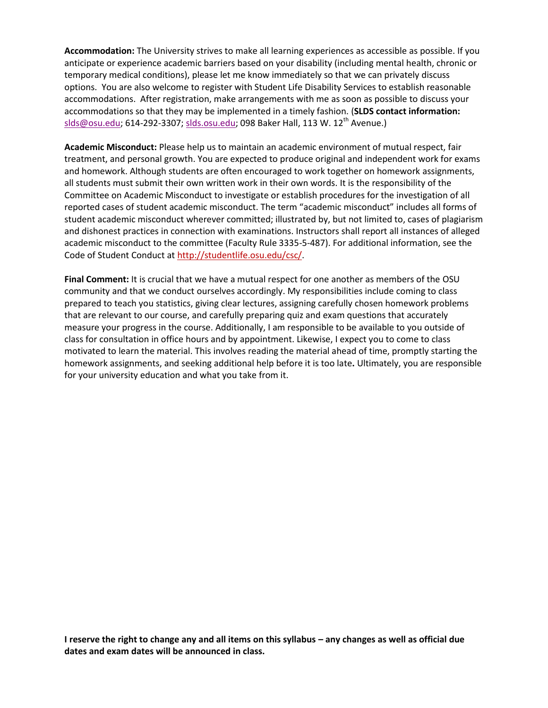**Accommodation:** The University strives to make all learning experiences as accessible as possible. If you anticipate or experience academic barriers based on your disability (including mental health, chronic or temporary medical conditions), please let me know immediately so that we can privately discuss options. You are also welcome to register with Student Life Disability Services to establish reasonable accommodations. After registration, make arrangements with me as soon as possible to discuss your accommodations so that they may be implemented in a timely fashion. (**SLDS contact information:** [slds@osu.edu;](https://mail.google.com/mail/?view=cm&fs=1&tf=1&to=slds@osu.edu) 614-292-3307; [slds.osu.edu;](http://slds.osu.edu/) 098 Baker Hall, 113 W. 12<sup>th</sup> Avenue.)

**Academic Misconduct:** Please help us to maintain an academic environment of mutual respect, fair treatment, and personal growth. You are expected to produce original and independent work for exams and homework. Although students are often encouraged to work together on homework assignments, all students must submit their own written work in their own words. It is the responsibility of the Committee on Academic Misconduct to investigate or establish procedures for the investigation of all reported cases of student academic misconduct. The term "academic misconduct" includes all forms of student academic misconduct wherever committed; illustrated by, but not limited to, cases of plagiarism and dishonest practices in connection with examinations. Instructors shall report all instances of alleged academic misconduct to the committee (Faculty Rule 3335-5-487). For additional information, see the Code of Student Conduct at [http://studentlife.osu.edu/csc/.](http://studentlife.osu.edu/csc/)

**Final Comment:** It is crucial that we have a mutual respect for one another as members of the OSU community and that we conduct ourselves accordingly. My responsibilities include coming to class prepared to teach you statistics, giving clear lectures, assigning carefully chosen homework problems that are relevant to our course, and carefully preparing quiz and exam questions that accurately measure your progress in the course. Additionally, I am responsible to be available to you outside of class for consultation in office hours and by appointment. Likewise, I expect you to come to class motivated to learn the material. This involves reading the material ahead of time, promptly starting the homework assignments, and seeking additional help before it is too late**.** Ultimately, you are responsible for your university education and what you take from it.

**I reserve the right to change any and all items on this syllabus – any changes as well as official due dates and exam dates will be announced in class.**